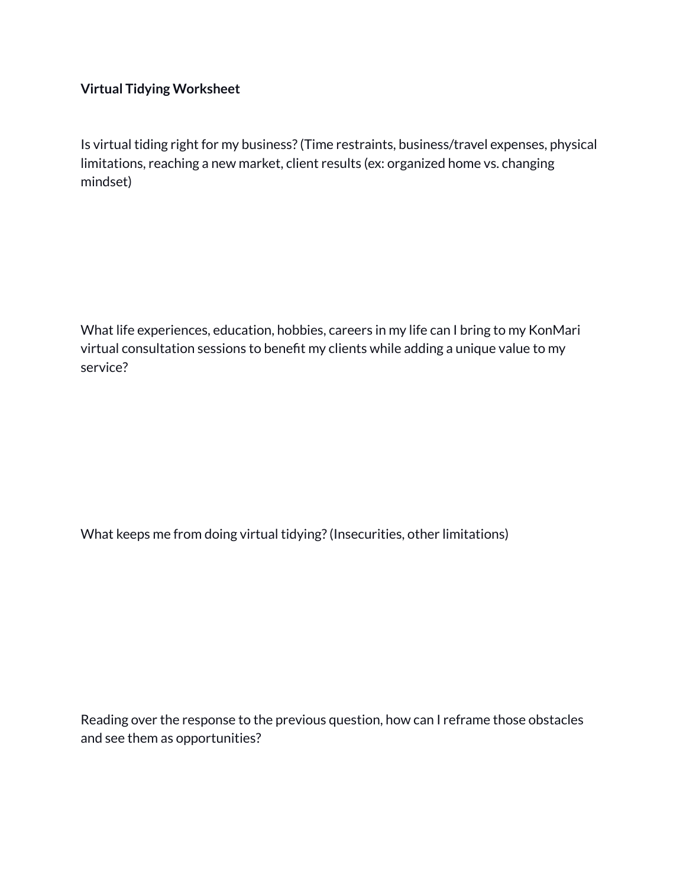## **Virtual Tidying Worksheet**

Is virtual tiding right for my business?(Time restraints, business/travel expenses, physical limitations, reaching a new market, client results (ex: organized home vs. changing mindset)

What life experiences, education, hobbies, careers in my life can I bring to my KonMari virtual consultation sessions to benefit my clients while adding a unique value to my service?

What keeps me from doing virtual tidying?(Insecurities, other limitations)

Reading over the response to the previous question, how can I reframe those obstacles and see them as opportunities?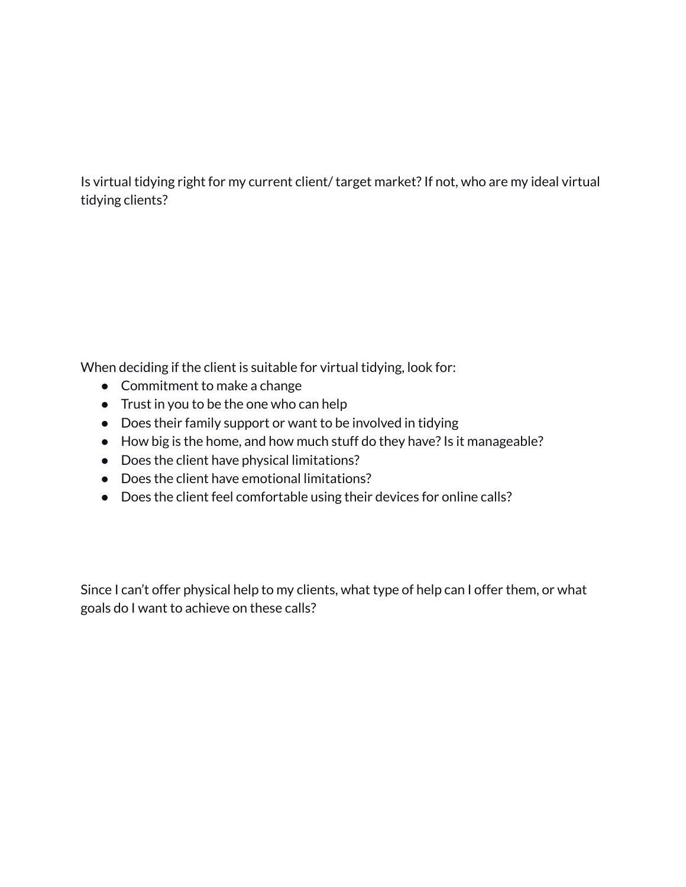Is virtual tidying right for my current client/ target market?If not, who are my ideal virtual tidying clients?

When deciding if the client is suitable for virtual tidying, look for:

- Commitment to make a change
- Trust in you to be the one who can help
- Does their family support or want to be involved in tidying
- How big is the home, and how much stuff do they have? Is it manageable?
- Does the client have physical limitations?
- Does the client have emotional limitations?
- Does the client feel comfortable using their devices for online calls?

Since I can't offer physical help to my clients, what type of help can I offer them, or what goals do I want to achieve on these calls?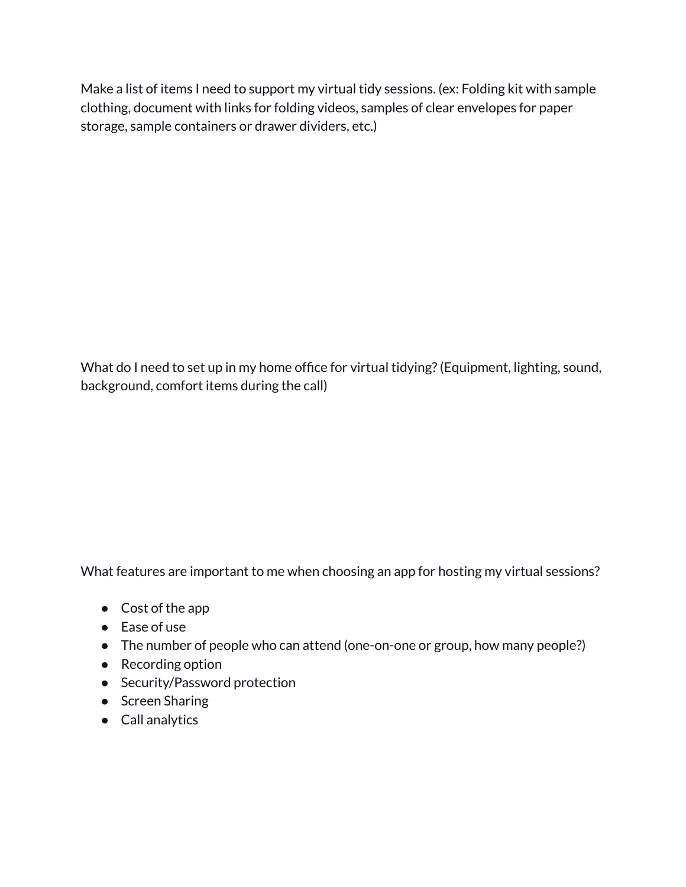Make a list of items I need to support my virtual tidy sessions. (ex: Folding kit with sample clothing, document with links for folding videos, samples of clear envelopes for paper storage, sample containers or drawer dividers, etc.)

What do I need to set up in my home office for virtual tidying?(Equipment, lighting, sound, background, comfort items during the call)

What features are important to me when choosing an app for hosting my virtual sessions?

- Cost of the app
- Ease of use
- The number of people who can attend (one-on-one or group, how many people?)
- Recording option
- Security/Password protection
- Screen Sharing
- Call analytics